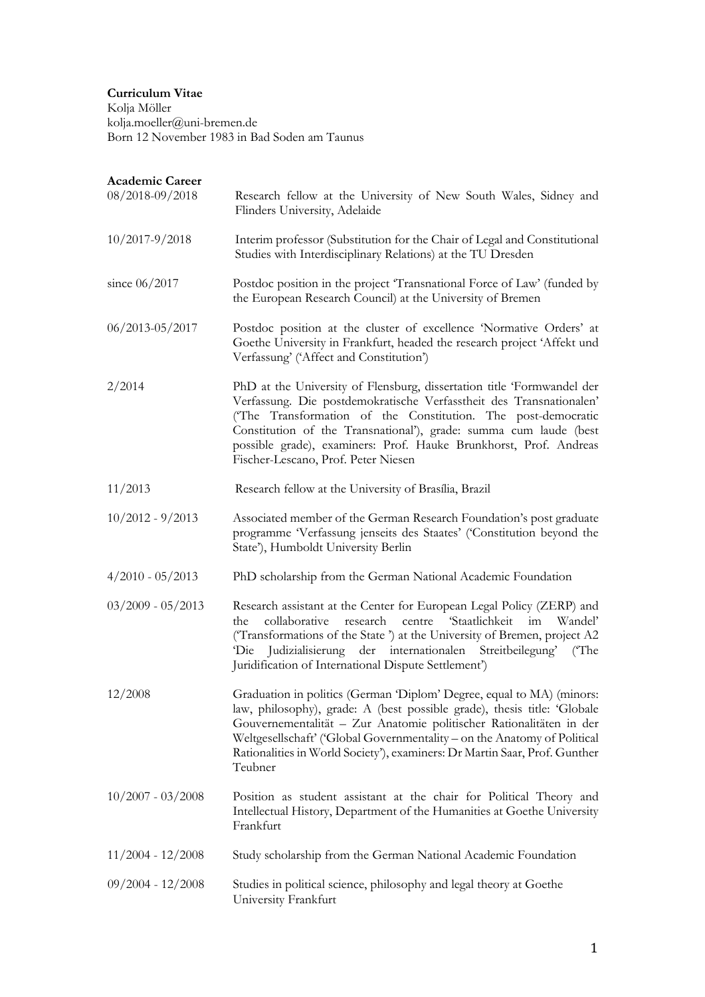# **Curriculum Vitae**

Kolja Möller kolja.moeller@uni-bremen.de Born 12 November 1983 in Bad Soden am Taunus

| Academic Career     |                                                                                                                                                                                                                                                                                                                                                                                                 |
|---------------------|-------------------------------------------------------------------------------------------------------------------------------------------------------------------------------------------------------------------------------------------------------------------------------------------------------------------------------------------------------------------------------------------------|
| 08/2018-09/2018     | Research fellow at the University of New South Wales, Sidney and<br>Flinders University, Adelaide                                                                                                                                                                                                                                                                                               |
| $10/2017 - 9/2018$  | Interim professor (Substitution for the Chair of Legal and Constitutional<br>Studies with Interdisciplinary Relations) at the TU Dresden                                                                                                                                                                                                                                                        |
| since $06/2017$     | Postdoc position in the project 'Transnational Force of Law' (funded by<br>the European Research Council) at the University of Bremen                                                                                                                                                                                                                                                           |
| $06/2013 - 05/2017$ | Postdoc position at the cluster of excellence 'Normative Orders' at<br>Goethe University in Frankfurt, headed the research project 'Affekt und<br>Verfassung' ('Affect and Constitution')                                                                                                                                                                                                       |
| 2/2014              | PhD at the University of Flensburg, dissertation title 'Formwandel der<br>Verfassung. Die postdemokratische Verfasstheit des Transnationalen'<br>('The Transformation of the Constitution. The post-democratic<br>Constitution of the Transnational'), grade: summa cum laude (best<br>possible grade), examiners: Prof. Hauke Brunkhorst, Prof. Andreas<br>Fischer-Lescano, Prof. Peter Niesen |
| 11/2013             | Research fellow at the University of Brasília, Brazil                                                                                                                                                                                                                                                                                                                                           |
| $10/2012 - 9/2013$  | Associated member of the German Research Foundation's post graduate<br>programme 'Verfassung jenseits des Staates' ('Constitution beyond the<br>State'), Humboldt University Berlin                                                                                                                                                                                                             |
| $4/2010 - 05/2013$  | PhD scholarship from the German National Academic Foundation                                                                                                                                                                                                                                                                                                                                    |
| $03/2009 - 05/2013$ | Research assistant at the Center for European Legal Policy (ZERP) and<br>research<br>centre 'Staatlichkeit<br>collaborative<br>im<br>Wandel'<br>the.<br>('Transformations of the State') at the University of Bremen, project A2<br>Die Judizialisierung der internationalen Streitbeilegung' (The<br>Juridification of International Dispute Settlement')                                      |
| 12/2008             | Graduation in politics (German 'Diplom' Degree, equal to MA) (minors:<br>law, philosophy), grade: A (best possible grade), thesis title: 'Globale<br>Gouvernementalität - Zur Anatomie politischer Rationalitäten in der<br>Weltgesellschaft' ('Global Governmentality - on the Anatomy of Political<br>Rationalities in World Society'), examiners: Dr Martin Saar, Prof. Gunther<br>Teubner   |
| $10/2007 - 03/2008$ | Position as student assistant at the chair for Political Theory and<br>Intellectual History, Department of the Humanities at Goethe University<br>Frankfurt                                                                                                                                                                                                                                     |
| $11/2004 - 12/2008$ | Study scholarship from the German National Academic Foundation                                                                                                                                                                                                                                                                                                                                  |
| $09/2004 - 12/2008$ | Studies in political science, philosophy and legal theory at Goethe<br>University Frankfurt                                                                                                                                                                                                                                                                                                     |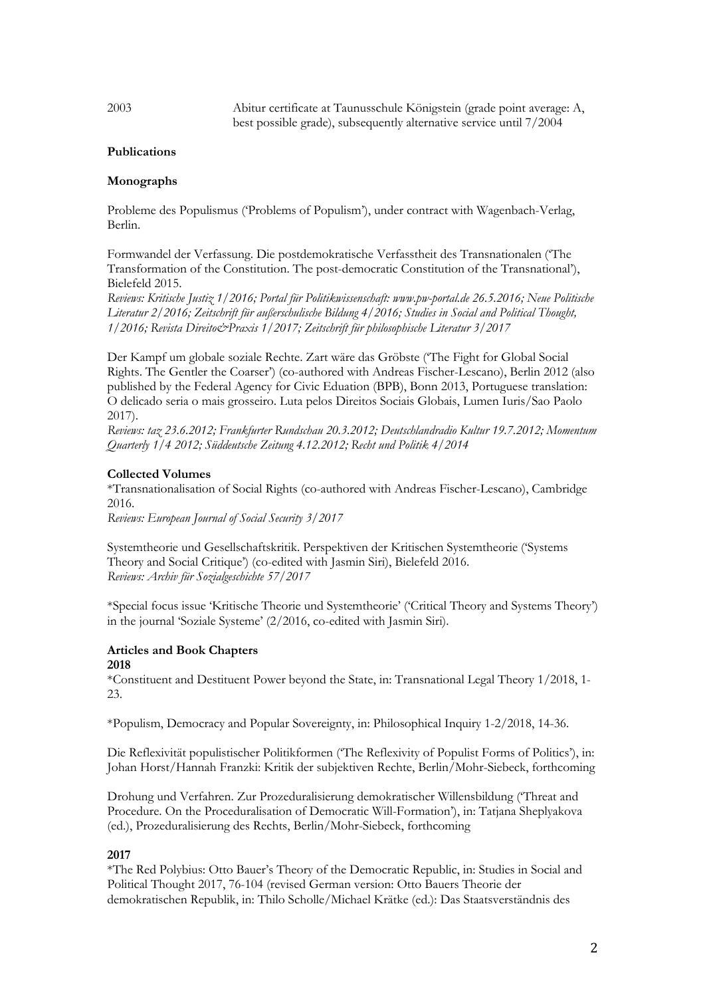2003 Abitur certificate at Taunusschule Königstein (grade point average: A, best possible grade), subsequently alternative service until 7/2004

# **Publications**

# **Monographs**

Probleme des Populismus ('Problems of Populism'), under contract with Wagenbach-Verlag, Berlin.

Formwandel der Verfassung. Die postdemokratische Verfasstheit des Transnationalen ('The Transformation of the Constitution. The post-democratic Constitution of the Transnational'), Bielefeld 2015.

*Reviews: Kritische Justiz 1/2016; Portal für Politikwissenschaft: www.pw-portal.de 26.5.2016; Neue Politische Literatur 2/2016; Zeitschrift für außerschulische Bildung 4/2016; Studies in Social and Political Thought, 1/2016; Revista Direito&Praxis 1/2017; Zeitschrift für philosophische Literatur 3/2017*

Der Kampf um globale soziale Rechte. Zart wäre das Gröbste ('The Fight for Global Social Rights. The Gentler the Coarser') (co-authored with Andreas Fischer-Lescano), Berlin 2012 (also published by the Federal Agency for Civic Eduation (BPB), Bonn 2013, Portuguese translation: O delicado seria o mais grosseiro. Luta pelos Direitos Sociais Globais, Lumen Iuris/Sao Paolo 2017).

*Reviews: taz 23.6.2012; Frankfurter Rundschau 20.3.2012; Deutschlandradio Kultur 19.7.2012; Momentum Quarterly 1/4 2012; Süddeutsche Zeitung 4.12.2012; Recht und Politik 4/2014*

#### **Collected Volumes**

\*Transnationalisation of Social Rights (co-authored with Andreas Fischer-Lescano), Cambridge 2016.

*Reviews: European Journal of Social Security 3/2017*

Systemtheorie und Gesellschaftskritik. Perspektiven der Kritischen Systemtheorie ('Systems Theory and Social Critique') (co-edited with Jasmin Siri), Bielefeld 2016. *Reviews: Archiv für Sozialgeschichte 57/2017*

\*Special focus issue 'Kritische Theorie und Systemtheorie' ('Critical Theory and Systems Theory') in the journal 'Soziale Systeme' (2/2016, co-edited with Jasmin Siri).

# **Articles and Book Chapters**

# **2018**

\*Constituent and Destituent Power beyond the State, in: Transnational Legal Theory 1/2018, 1- 23.

\*Populism, Democracy and Popular Sovereignty, in: Philosophical Inquiry 1-2/2018, 14-36.

Die Reflexivität populistischer Politikformen ('The Reflexivity of Populist Forms of Politics'), in: Johan Horst/Hannah Franzki: Kritik der subjektiven Rechte, Berlin/Mohr-Siebeck, forthcoming

Drohung und Verfahren. Zur Prozeduralisierung demokratischer Willensbildung ('Threat and Procedure. On the Proceduralisation of Democratic Will-Formation'), in: Tatjana Sheplyakova (ed.), Prozeduralisierung des Rechts, Berlin/Mohr-Siebeck, forthcoming

#### **2017**

\*The Red Polybius: Otto Bauer's Theory of the Democratic Republic, in: Studies in Social and Political Thought 2017, 76-104 (revised German version: Otto Bauers Theorie der demokratischen Republik, in: Thilo Scholle/Michael Krätke (ed.): Das Staatsverständnis des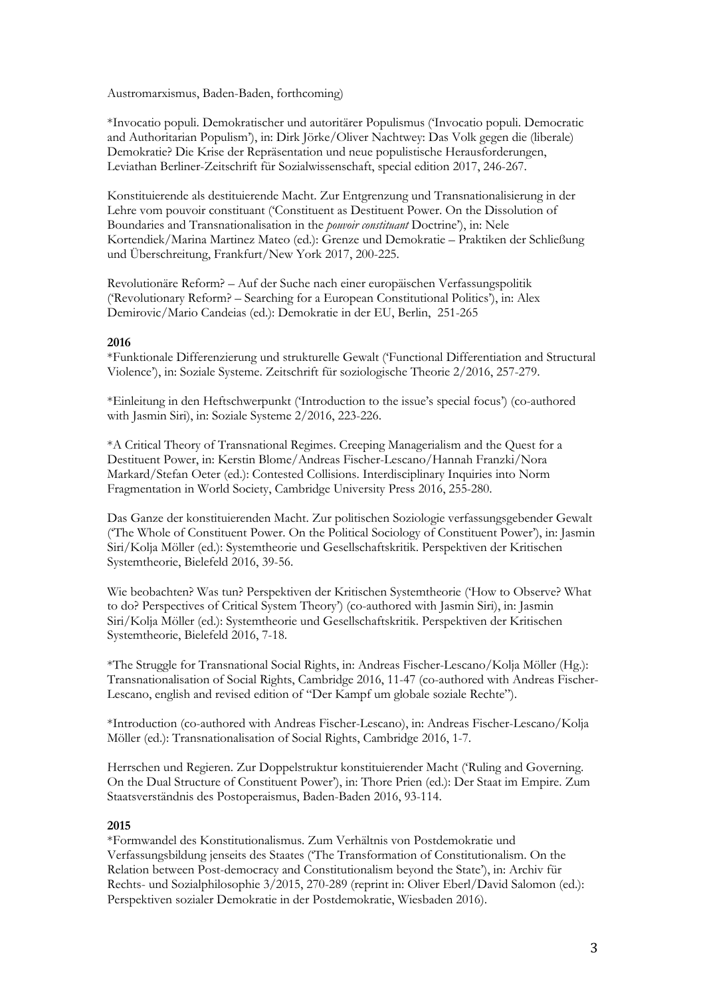Austromarxismus, Baden-Baden, forthcoming)

\*Invocatio populi. Demokratischer und autoritärer Populismus ('Invocatio populi. Democratic and Authoritarian Populism'), in: Dirk Jörke/Oliver Nachtwey: Das Volk gegen die (liberale) Demokratie? Die Krise der Repräsentation und neue populistische Herausforderungen, Leviathan Berliner-Zeitschrift für Sozialwissenschaft, special edition 2017, 246-267.

Konstituierende als destituierende Macht. Zur Entgrenzung und Transnationalisierung in der Lehre vom pouvoir constituant ('Constituent as Destituent Power. On the Dissolution of Boundaries and Transnationalisation in the *pouvoir constituant* Doctrine'), in: Nele Kortendiek/Marina Martinez Mateo (ed.): Grenze und Demokratie – Praktiken der Schließung und Überschreitung, Frankfurt/New York 2017, 200-225.

Revolutionäre Reform? – Auf der Suche nach einer europäischen Verfassungspolitik ('Revolutionary Reform? – Searching for a European Constitutional Politics'), in: Alex Demirovic/Mario Candeias (ed.): Demokratie in der EU, Berlin, 251-265

# **2016**

\*Funktionale Differenzierung und strukturelle Gewalt ('Functional Differentiation and Structural Violence'), in: Soziale Systeme. Zeitschrift für soziologische Theorie 2/2016, 257-279.

\*Einleitung in den Heftschwerpunkt ('Introduction to the issue's special focus') (co-authored with Jasmin Siri), in: Soziale Systeme 2/2016, 223-226.

\*A Critical Theory of Transnational Regimes. Creeping Managerialism and the Quest for a Destituent Power, in: Kerstin Blome/Andreas Fischer-Lescano/Hannah Franzki/Nora Markard/Stefan Oeter (ed.): Contested Collisions. Interdisciplinary Inquiries into Norm Fragmentation in World Society, Cambridge University Press 2016, 255-280.

Das Ganze der konstituierenden Macht. Zur politischen Soziologie verfassungsgebender Gewalt ('The Whole of Constituent Power. On the Political Sociology of Constituent Power'), in: Jasmin Siri/Kolja Möller (ed.): Systemtheorie und Gesellschaftskritik. Perspektiven der Kritischen Systemtheorie, Bielefeld 2016, 39-56.

Wie beobachten? Was tun? Perspektiven der Kritischen Systemtheorie ('How to Observe? What to do? Perspectives of Critical System Theory') (co-authored with Jasmin Siri), in: Jasmin Siri/Kolja Möller (ed.): Systemtheorie und Gesellschaftskritik. Perspektiven der Kritischen Systemtheorie, Bielefeld 2016, 7-18.

\*The Struggle for Transnational Social Rights, in: Andreas Fischer-Lescano/Kolja Möller (Hg.): Transnationalisation of Social Rights, Cambridge 2016, 11-47 (co-authored with Andreas Fischer-Lescano, english and revised edition of "Der Kampf um globale soziale Rechte").

\*Introduction (co-authored with Andreas Fischer-Lescano), in: Andreas Fischer-Lescano/Kolja Möller (ed.): Transnationalisation of Social Rights, Cambridge 2016, 1-7.

Herrschen und Regieren. Zur Doppelstruktur konstituierender Macht ('Ruling and Governing. On the Dual Structure of Constituent Power'), in: Thore Prien (ed.): Der Staat im Empire. Zum Staatsverständnis des Postoperaismus, Baden-Baden 2016, 93-114.

#### **2015**

\*Formwandel des Konstitutionalismus. Zum Verhältnis von Postdemokratie und Verfassungsbildung jenseits des Staates ('The Transformation of Constitutionalism. On the Relation between Post-democracy and Constitutionalism beyond the State'), in: Archiv für Rechts- und Sozialphilosophie 3/2015, 270-289 (reprint in: Oliver Eberl/David Salomon (ed.): Perspektiven sozialer Demokratie in der Postdemokratie, Wiesbaden 2016).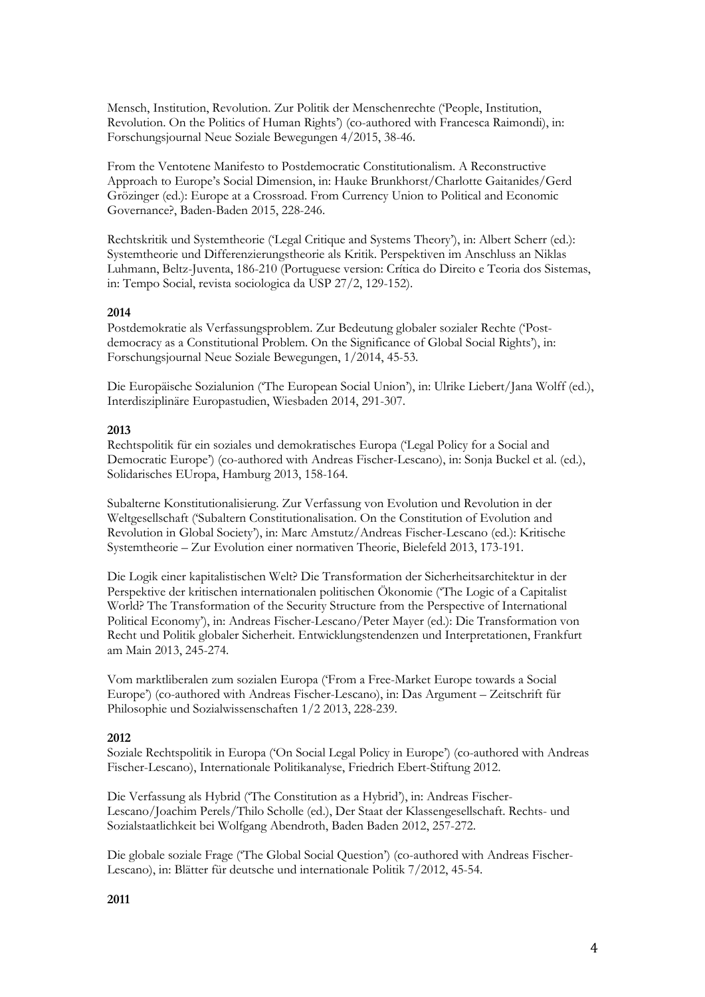Mensch, Institution, Revolution. Zur Politik der Menschenrechte ('People, Institution, Revolution. On the Politics of Human Rights') (co-authored with Francesca Raimondi), in: Forschungsjournal Neue Soziale Bewegungen 4/2015, 38-46.

From the Ventotene Manifesto to Postdemocratic Constitutionalism. A Reconstructive Approach to Europe's Social Dimension, in: Hauke Brunkhorst/Charlotte Gaitanides/Gerd Grözinger (ed.): Europe at a Crossroad. From Currency Union to Political and Economic Governance?, Baden-Baden 2015, 228-246.

Rechtskritik und Systemtheorie ('Legal Critique and Systems Theory'), in: Albert Scherr (ed.): Systemtheorie und Differenzierungstheorie als Kritik. Perspektiven im Anschluss an Niklas Luhmann, Beltz-Juventa, 186-210 (Portuguese version: Crítica do Direito e Teoria dos Sistemas, in: Tempo Social, revista sociologica da USP 27/2, 129-152).

# **2014**

Postdemokratie als Verfassungsproblem. Zur Bedeutung globaler sozialer Rechte ('Postdemocracy as a Constitutional Problem. On the Significance of Global Social Rights'), in: Forschungsjournal Neue Soziale Bewegungen, 1/2014, 45-53.

Die Europäische Sozialunion ('The European Social Union'), in: Ulrike Liebert/Jana Wolff (ed.), Interdisziplinäre Europastudien, Wiesbaden 2014, 291-307.

# **2013**

Rechtspolitik für ein soziales und demokratisches Europa ('Legal Policy for a Social and Democratic Europe') (co-authored with Andreas Fischer-Lescano), in: Sonja Buckel et al. (ed.), Solidarisches EUropa, Hamburg 2013, 158-164.

Subalterne Konstitutionalisierung. Zur Verfassung von Evolution und Revolution in der Weltgesellschaft ('Subaltern Constitutionalisation. On the Constitution of Evolution and Revolution in Global Society'), in: Marc Amstutz/Andreas Fischer-Lescano (ed.): Kritische Systemtheorie – Zur Evolution einer normativen Theorie, Bielefeld 2013, 173-191.

Die Logik einer kapitalistischen Welt? Die Transformation der Sicherheitsarchitektur in der Perspektive der kritischen internationalen politischen Ökonomie ('The Logic of a Capitalist World? The Transformation of the Security Structure from the Perspective of International Political Economy'), in: Andreas Fischer-Lescano/Peter Mayer (ed.): Die Transformation von Recht und Politik globaler Sicherheit. Entwicklungstendenzen und Interpretationen, Frankfurt am Main 2013, 245-274.

Vom marktliberalen zum sozialen Europa ('From a Free-Market Europe towards a Social Europe') (co-authored with Andreas Fischer-Lescano), in: Das Argument – Zeitschrift für Philosophie und Sozialwissenschaften 1/2 2013, 228-239.

# **2012**

Soziale Rechtspolitik in Europa ('On Social Legal Policy in Europe') (co-authored with Andreas Fischer-Lescano), Internationale Politikanalyse, Friedrich Ebert-Stiftung 2012.

Die Verfassung als Hybrid ('The Constitution as a Hybrid'), in: Andreas Fischer-Lescano/Joachim Perels/Thilo Scholle (ed.), Der Staat der Klassengesellschaft. Rechts- und Sozialstaatlichkeit bei Wolfgang Abendroth, Baden Baden 2012, 257-272.

Die globale soziale Frage ('The Global Social Question') (co-authored with Andreas Fischer-Lescano), in: Blätter für deutsche und internationale Politik 7/2012, 45-54.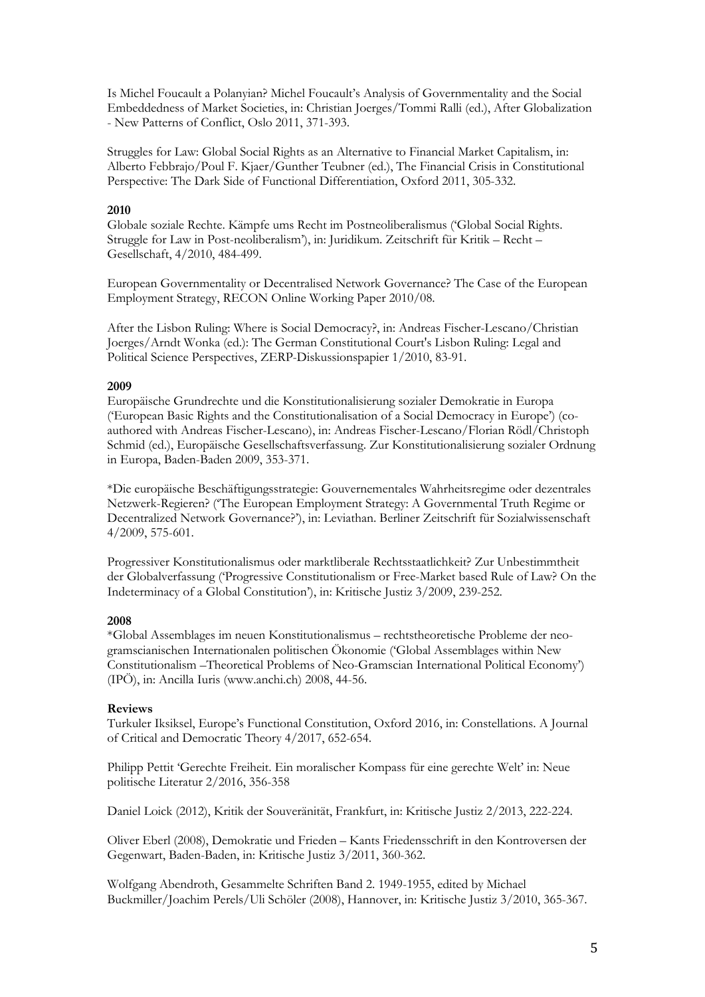Is Michel Foucault a Polanyian? Michel Foucault's Analysis of Governmentality and the Social Embeddedness of Market Societies, in: Christian Joerges/Tommi Ralli (ed.), After Globalization - New Patterns of Conflict, Oslo 2011, 371-393.

Struggles for Law: Global Social Rights as an Alternative to Financial Market Capitalism, in: Alberto Febbrajo/Poul F. Kjaer/Gunther Teubner (ed.), The Financial Crisis in Constitutional Perspective: The Dark Side of Functional Differentiation, Oxford 2011, 305-332.

# **2010**

Globale soziale Rechte. Kämpfe ums Recht im Postneoliberalismus ('Global Social Rights. Struggle for Law in Post-neoliberalism'), in: Juridikum. Zeitschrift für Kritik – Recht – Gesellschaft, 4/2010, 484-499.

European Governmentality or Decentralised Network Governance? The Case of the European Employment Strategy, RECON Online Working Paper 2010/08.

After the Lisbon Ruling: Where is Social Democracy?, in: Andreas Fischer-Lescano/Christian Joerges/Arndt Wonka (ed.): The German Constitutional Court's Lisbon Ruling: Legal and Political Science Perspectives, ZERP-Diskussionspapier 1/2010, 83-91.

# **2009**

Europäische Grundrechte und die Konstitutionalisierung sozialer Demokratie in Europa ('European Basic Rights and the Constitutionalisation of a Social Democracy in Europe') (coauthored with Andreas Fischer-Lescano), in: Andreas Fischer-Lescano/Florian Rödl/Christoph Schmid (ed.), Europäische Gesellschaftsverfassung. Zur Konstitutionalisierung sozialer Ordnung in Europa, Baden-Baden 2009, 353-371.

\*Die europäische Beschäftigungsstrategie: Gouvernementales Wahrheitsregime oder dezentrales Netzwerk-Regieren? ('The European Employment Strategy: A Governmental Truth Regime or Decentralized Network Governance?'), in: Leviathan. Berliner Zeitschrift für Sozialwissenschaft 4/2009, 575-601.

Progressiver Konstitutionalismus oder marktliberale Rechtsstaatlichkeit? Zur Unbestimmtheit der Globalverfassung ('Progressive Constitutionalism or Free-Market based Rule of Law? On the Indeterminacy of a Global Constitution'), in: Kritische Justiz 3/2009, 239-252.

# **2008**

\*Global Assemblages im neuen Konstitutionalismus – rechtstheoretische Probleme der neogramscianischen Internationalen politischen Ökonomie ('Global Assemblages within New Constitutionalism –Theoretical Problems of Neo-Gramscian International Political Economy') (IPÖ), in: Ancilla Iuris (www.anchi.ch) 2008, 44-56.

# **Reviews**

Turkuler Iksiksel, Europe's Functional Constitution, Oxford 2016, in: Constellations. A Journal of Critical and Democratic Theory 4/2017, 652-654.

Philipp Pettit 'Gerechte Freiheit. Ein moralischer Kompass für eine gerechte Welt' in: Neue politische Literatur 2/2016, 356-358

Daniel Loick (2012), Kritik der Souveränität, Frankfurt, in: Kritische Justiz 2/2013, 222-224.

Oliver Eberl (2008), Demokratie und Frieden – Kants Friedensschrift in den Kontroversen der Gegenwart, Baden-Baden, in: Kritische Justiz 3/2011, 360-362.

Wolfgang Abendroth, Gesammelte Schriften Band 2. 1949-1955, edited by Michael Buckmiller/Joachim Perels/Uli Schöler (2008), Hannover, in: Kritische Justiz 3/2010, 365-367.